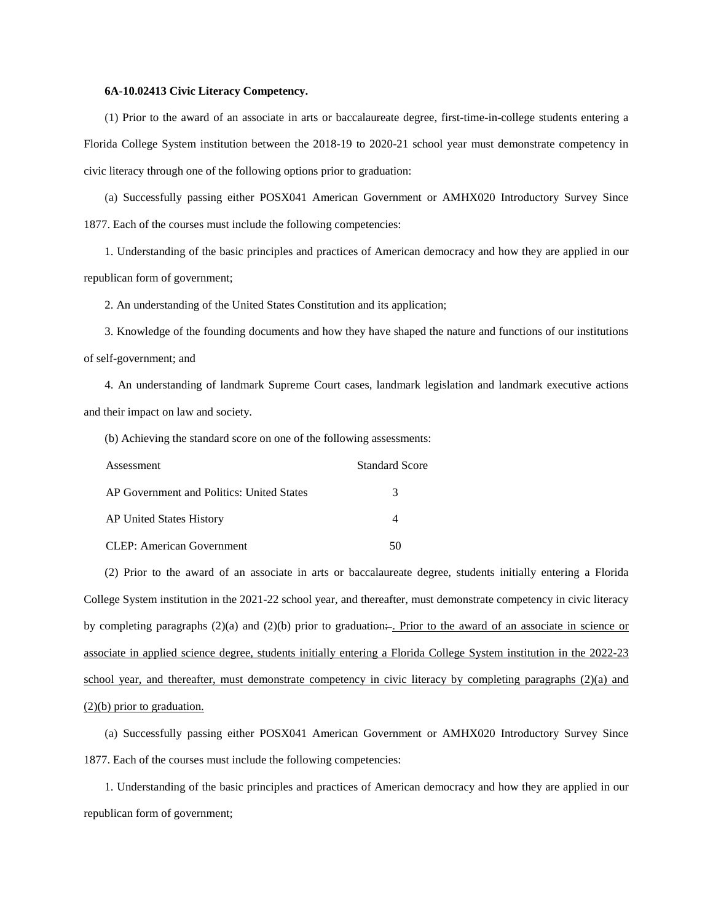## **6A-10.02413 Civic Literacy Competency.**

(1) Prior to the award of an associate in arts or baccalaureate degree, first-time-in-college students entering a Florida College System institution between the 2018-19 to 2020-21 school year must demonstrate competency in civic literacy through one of the following options prior to graduation:

(a) Successfully passing either POSX041 American Government or AMHX020 Introductory Survey Since 1877. Each of the courses must include the following competencies:

1. Understanding of the basic principles and practices of American democracy and how they are applied in our republican form of government;

2. An understanding of the United States Constitution and its application;

3. Knowledge of the founding documents and how they have shaped the nature and functions of our institutions of self-government; and

4. An understanding of landmark Supreme Court cases, landmark legislation and landmark executive actions and their impact on law and society.

(b) Achieving the standard score on one of the following assessments:

| Assessment                                | <b>Standard Score</b> |
|-------------------------------------------|-----------------------|
| AP Government and Politics: United States | 3                     |
| AP United States History                  |                       |
| <b>CLEP: American Government</b>          |                       |

(2) Prior to the award of an associate in arts or baccalaureate degree, students initially entering a Florida College System institution in the 2021-22 school year, and thereafter, must demonstrate competency in civic literacy by completing paragraphs  $(2)(a)$  and  $(2)(b)$  prior to graduation... Prior to the award of an associate in science or associate in applied science degree, students initially entering a Florida College System institution in the 2022-23 school year, and thereafter, must demonstrate competency in civic literacy by completing paragraphs (2)(a) and (2)(b) prior to graduation.

(a) Successfully passing either POSX041 American Government or AMHX020 Introductory Survey Since 1877. Each of the courses must include the following competencies:

1. Understanding of the basic principles and practices of American democracy and how they are applied in our republican form of government;